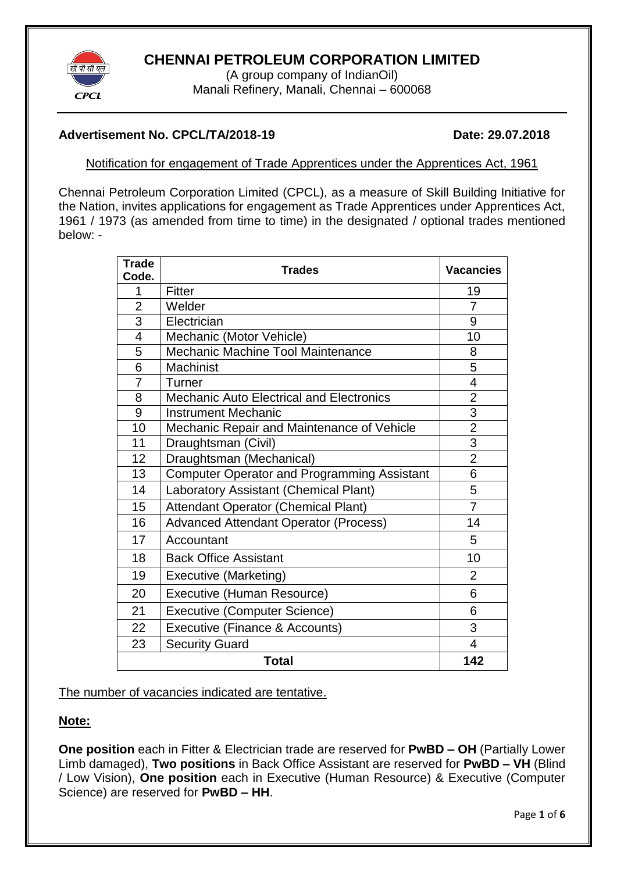

# **CHENNAI PETROLEUM CORPORATION LIMITED**

(A group company of IndianOil) Manali Refinery, Manali, Chennai – 600068

# **Advertisement No. CPCL/TA/2018-19 Date: 29.07.2018**

Notification for engagement of Trade Apprentices under the Apprentices Act, 1961

Chennai Petroleum Corporation Limited (CPCL), as a measure of Skill Building Initiative for the Nation, invites applications for engagement as Trade Apprentices under Apprentices Act, 1961 / 1973 (as amended from time to time) in the designated / optional trades mentioned below: -

| <b>Trade</b><br>Code.   | <b>Trades</b>                                      | <b>Vacancies</b> |  |  |
|-------------------------|----------------------------------------------------|------------------|--|--|
| 1                       | Fitter                                             | 19               |  |  |
| $\overline{2}$          | Welder                                             | $\overline{7}$   |  |  |
| $\overline{3}$          | Electrician                                        | 9                |  |  |
| $\overline{\mathbf{4}}$ | Mechanic (Motor Vehicle)                           | 10               |  |  |
| 5                       | Mechanic Machine Tool Maintenance<br>8             |                  |  |  |
| 6                       | Machinist                                          | 5                |  |  |
| $\overline{7}$          | Turner                                             | $\overline{4}$   |  |  |
| 8                       | <b>Mechanic Auto Electrical and Electronics</b>    | $\overline{2}$   |  |  |
| 9                       | <b>Instrument Mechanic</b>                         | $\overline{3}$   |  |  |
| 10                      | Mechanic Repair and Maintenance of Vehicle         | $\overline{2}$   |  |  |
| 11                      | Draughtsman (Civil)                                | $\overline{3}$   |  |  |
| 12                      | Draughtsman (Mechanical)                           | $\overline{2}$   |  |  |
| 13                      | <b>Computer Operator and Programming Assistant</b> | $\overline{6}$   |  |  |
| 14                      | Laboratory Assistant (Chemical Plant)              | 5                |  |  |
| 15                      | Attendant Operator (Chemical Plant)                | $\overline{7}$   |  |  |
| 16                      | <b>Advanced Attendant Operator (Process)</b>       | 14               |  |  |
| 17                      | Accountant                                         | 5                |  |  |
| 18                      | <b>Back Office Assistant</b>                       | 10               |  |  |
| 19                      | <b>Executive (Marketing)</b>                       | $\overline{2}$   |  |  |
| 20                      | Executive (Human Resource)                         | 6                |  |  |
| 21                      | <b>Executive (Computer Science)</b>                | 6                |  |  |
| 22                      | Executive (Finance & Accounts)                     | 3                |  |  |
| 23                      | <b>Security Guard</b>                              | $\overline{4}$   |  |  |
| 142<br><b>Total</b>     |                                                    |                  |  |  |

The number of vacancies indicated are tentative.

## **Note:**

**One position** each in Fitter & Electrician trade are reserved for **PwBD – OH** (Partially Lower Limb damaged), **Two positions** in Back Office Assistant are reserved for **PwBD – VH** (Blind / Low Vision), **One position** each in Executive (Human Resource) & Executive (Computer Science) are reserved for **PwBD – HH**.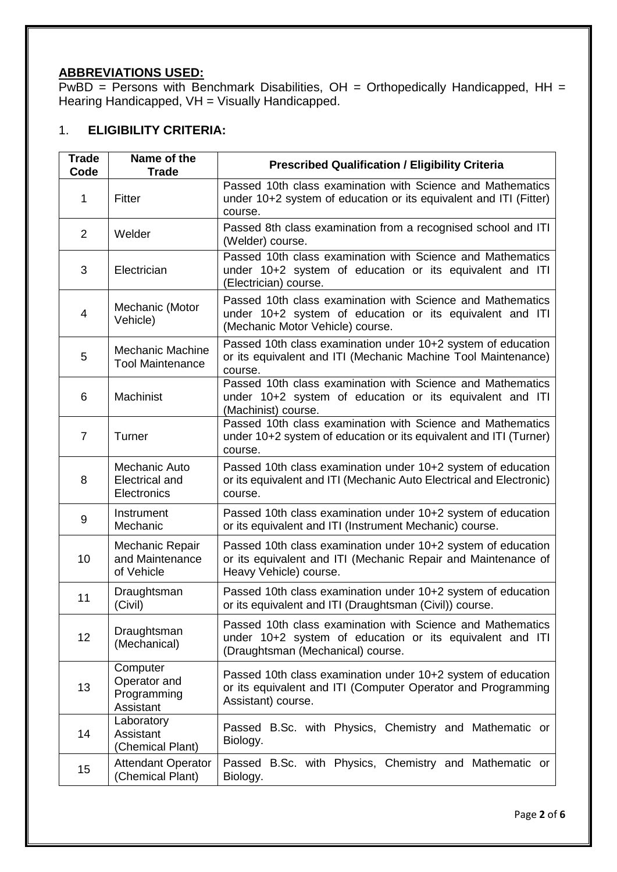# **ABBREVIATIONS USED:**

 $PwBD =$  Persons with Benchmark Disabilities,  $OH =$  Orthopedically Handicapped,  $HH =$ Hearing Handicapped, VH = Visually Handicapped.

# 1. **ELIGIBILITY CRITERIA:**

| <b>Trade</b><br>Code | Name of the<br><b>Trade</b>                           | <b>Prescribed Qualification / Eligibility Criteria</b>                                                                                                      |
|----------------------|-------------------------------------------------------|-------------------------------------------------------------------------------------------------------------------------------------------------------------|
| 1                    | Fitter                                                | Passed 10th class examination with Science and Mathematics<br>under 10+2 system of education or its equivalent and ITI (Fitter)<br>course.                  |
| $\overline{2}$       | Welder                                                | Passed 8th class examination from a recognised school and ITI<br>(Welder) course.                                                                           |
| 3                    | Electrician                                           | Passed 10th class examination with Science and Mathematics<br>under 10+2 system of education or its equivalent and ITI<br>(Electrician) course.             |
| 4                    | Mechanic (Motor<br>Vehicle)                           | Passed 10th class examination with Science and Mathematics<br>under 10+2 system of education or its equivalent and ITI<br>(Mechanic Motor Vehicle) course.  |
| 5                    | <b>Mechanic Machine</b><br><b>Tool Maintenance</b>    | Passed 10th class examination under 10+2 system of education<br>or its equivalent and ITI (Mechanic Machine Tool Maintenance)<br>course.                    |
| 6                    | Machinist                                             | Passed 10th class examination with Science and Mathematics<br>under 10+2 system of education or its equivalent and ITI<br>(Machinist) course.               |
| $\overline{7}$       | Turner                                                | Passed 10th class examination with Science and Mathematics<br>under 10+2 system of education or its equivalent and ITI (Turner)<br>course.                  |
| 8                    | Mechanic Auto<br><b>Electrical and</b><br>Electronics | Passed 10th class examination under 10+2 system of education<br>or its equivalent and ITI (Mechanic Auto Electrical and Electronic)<br>course.              |
| 9                    | Instrument<br>Mechanic                                | Passed 10th class examination under 10+2 system of education<br>or its equivalent and ITI (Instrument Mechanic) course.                                     |
| 10                   | Mechanic Repair<br>and Maintenance<br>of Vehicle      | Passed 10th class examination under 10+2 system of education<br>or its equivalent and ITI (Mechanic Repair and Maintenance of<br>Heavy Vehicle) course.     |
| 11                   | Draughtsman<br>(Civil)                                | Passed 10th class examination under 10+2 system of education<br>or its equivalent and ITI (Draughtsman (Civil)) course.                                     |
| 12                   | Draughtsman<br>(Mechanical)                           | Passed 10th class examination with Science and Mathematics<br>under 10+2 system of education or its equivalent and ITI<br>(Draughtsman (Mechanical) course. |
| 13                   | Computer<br>Operator and<br>Programming<br>Assistant  | Passed 10th class examination under 10+2 system of education<br>or its equivalent and ITI (Computer Operator and Programming<br>Assistant) course.          |
| 14                   | Laboratory<br>Assistant<br>(Chemical Plant)           | Passed B.Sc. with Physics, Chemistry and Mathematic or<br>Biology.                                                                                          |
| 15                   | <b>Attendant Operator</b><br>(Chemical Plant)         | Passed B.Sc. with Physics, Chemistry and Mathematic or<br>Biology.                                                                                          |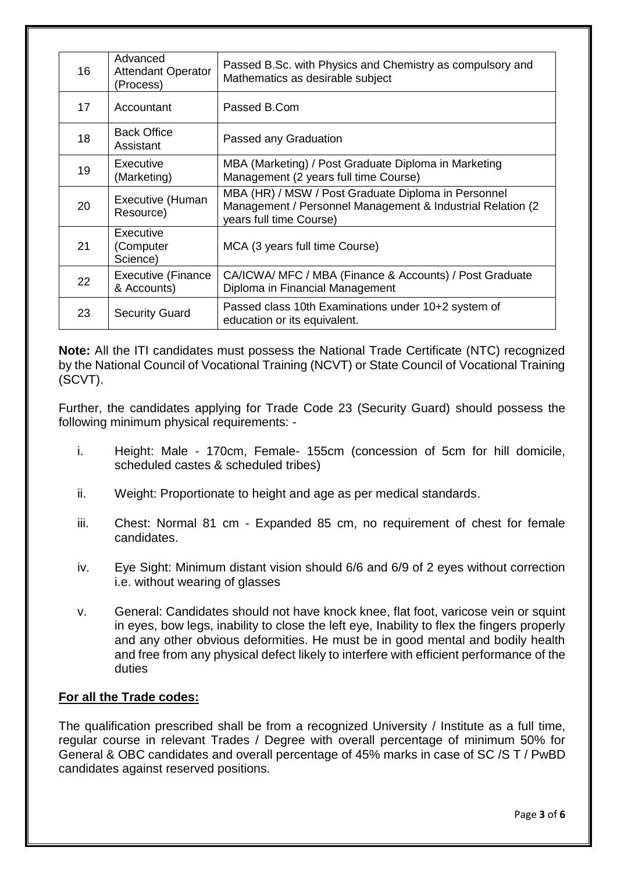| 16 | Advanced<br><b>Attendant Operator</b><br>(Process) | Passed B.Sc. with Physics and Chemistry as compulsory and<br>Mathematics as desirable subject                                                 |  |
|----|----------------------------------------------------|-----------------------------------------------------------------------------------------------------------------------------------------------|--|
| 17 | Accountant                                         | Passed B.Com                                                                                                                                  |  |
| 18 | <b>Back Office</b><br>Assistant                    | Passed any Graduation                                                                                                                         |  |
| 19 | Executive<br>(Marketing)                           | MBA (Marketing) / Post Graduate Diploma in Marketing<br>Management (2 years full time Course)                                                 |  |
| 20 | Executive (Human<br>Resource)                      | MBA (HR) / MSW / Post Graduate Diploma in Personnel<br>Management / Personnel Management & Industrial Relation (2)<br>years full time Course) |  |
| 21 | Executive<br>(Computer<br>Science)                 | MCA (3 years full time Course)                                                                                                                |  |
| 22 | <b>Executive (Finance</b><br>& Accounts)           | CA/ICWA/ MFC / MBA (Finance & Accounts) / Post Graduate<br>Diploma in Financial Management                                                    |  |
| 23 | <b>Security Guard</b>                              | Passed class 10th Examinations under 10+2 system of<br>education or its equivalent.                                                           |  |

**Note:** All the ITI candidates must possess the National Trade Certificate (NTC) recognized by the National Council of Vocational Training (NCVT) or State Council of Vocational Training (SCVT).

Further, the candidates applying for Trade Code 23 (Security Guard) should possess the following minimum physical requirements: -

- i. Height: Male 170cm, Female- 155cm (concession of 5cm for hill domicile, scheduled castes & scheduled tribes)
- ii. Weight: Proportionate to height and age as per medical standards.
- iii. Chest: Normal 81 cm Expanded 85 cm, no requirement of chest for female candidates.
- iv. Eye Sight: Minimum distant vision should 6/6 and 6/9 of 2 eyes without correction i.e. without wearing of glasses
- v. General: Candidates should not have knock knee, flat foot, varicose vein or squint in eyes, bow legs, inability to close the left eye, Inability to flex the fingers properly and any other obvious deformities. He must be in good mental and bodily health and free from any physical defect likely to interfere with efficient performance of the duties

## **For all the Trade codes:**

The qualification prescribed shall be from a recognized University / Institute as a full time, regular course in relevant Trades / Degree with overall percentage of minimum 50% for General & OBC candidates and overall percentage of 45% marks in case of SC /S T / PwBD candidates against reserved positions.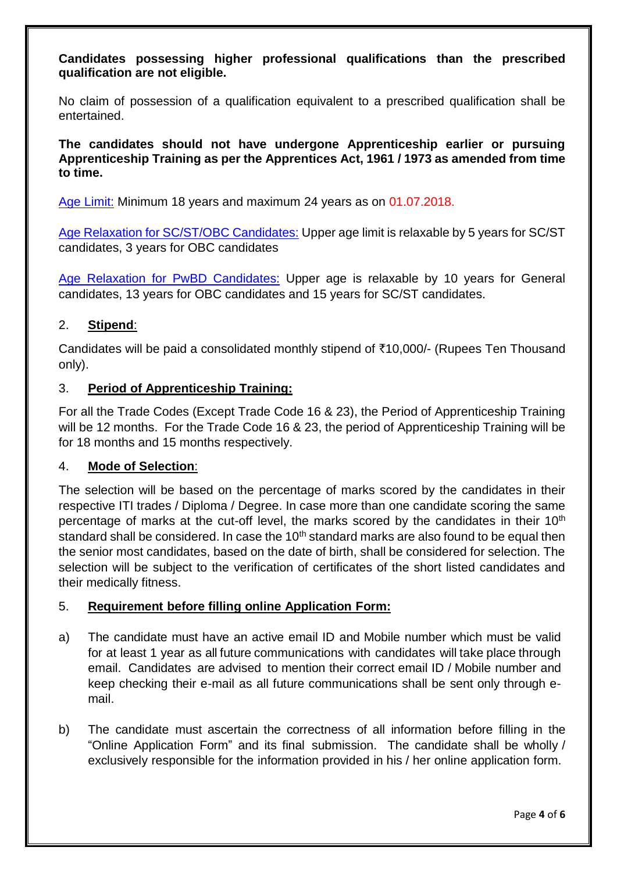**Candidates possessing higher professional qualifications than the prescribed qualification are not eligible.**

No claim of possession of a qualification equivalent to a prescribed qualification shall be entertained.

**The candidates should not have undergone Apprenticeship earlier or pursuing Apprenticeship Training as per the Apprentices Act, 1961 / 1973 as amended from time to time.**

Age Limit: Minimum 18 years and maximum 24 years as on 01.07.2018.

Age Relaxation for SC/ST/OBC Candidates: Upper age limit is relaxable by 5 years for SC/ST candidates, 3 years for OBC candidates

Age Relaxation for PwBD Candidates: Upper age is relaxable by 10 years for General candidates, 13 years for OBC candidates and 15 years for SC/ST candidates.

## 2. **Stipend**:

Candidates will be paid a consolidated monthly stipend of  $\bar{\tau}$ 10,000/- (Rupees Ten Thousand only).

## 3. **Period of Apprenticeship Training:**

For all the Trade Codes (Except Trade Code 16 & 23), the Period of Apprenticeship Training will be 12 months. For the Trade Code 16 & 23, the period of Apprenticeship Training will be for 18 months and 15 months respectively.

## 4. **Mode of Selection**:

The selection will be based on the percentage of marks scored by the candidates in their respective ITI trades / Diploma / Degree. In case more than one candidate scoring the same percentage of marks at the cut-off level, the marks scored by the candidates in their  $10<sup>th</sup>$ standard shall be considered. In case the  $10<sup>th</sup>$  standard marks are also found to be equal then the senior most candidates, based on the date of birth, shall be considered for selection. The selection will be subject to the verification of certificates of the short listed candidates and their medically fitness.

# 5. **Requirement before filling online Application Form:**

- a) The candidate must have an active email ID and Mobile number which must be valid for at least 1 year as all future communications with candidates will take place through email. Candidates are advised to mention their correct email ID / Mobile number and keep checking their e-mail as all future communications shall be sent only through email.
- b) The candidate must ascertain the correctness of all information before filling in the "Online Application Form" and its final submission. The candidate shall be wholly / exclusively responsible for the information provided in his / her online application form.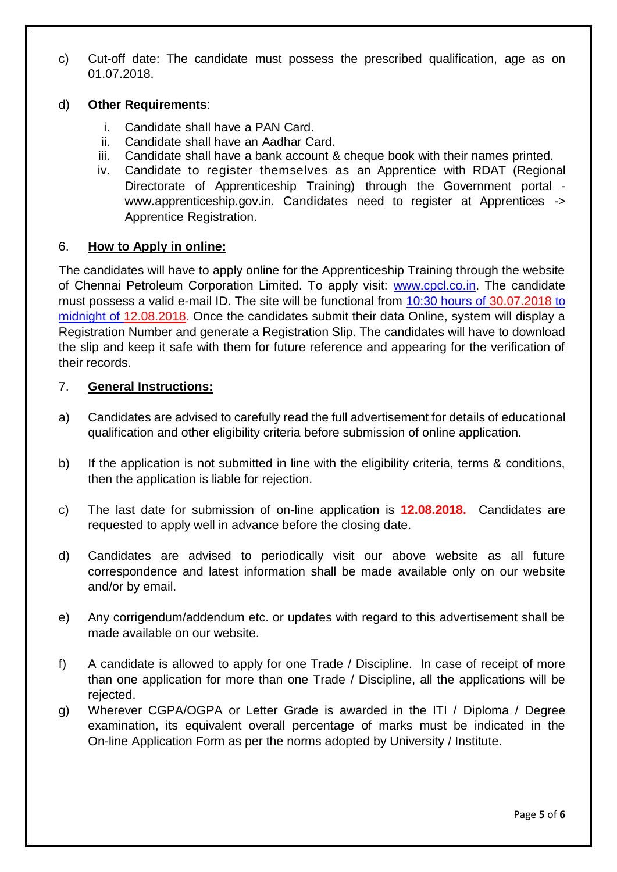c) Cut-off date: The candidate must possess the prescribed qualification, age as on 01.07.2018.

#### d) **Other Requirements**:

- i. Candidate shall have a PAN Card.
- ii. Candidate shall have an Aadhar Card.
- iii. Candidate shall have a bank account & cheque book with their names printed.
- iv. Candidate to register themselves as an Apprentice with RDAT (Regional Directorate of Apprenticeship Training) through the Government portal  [www.apprenticeship.gov.in. C](http://www.apprenticeship.gov.in.you/)andidates need to register at Apprentices -> Apprentice Registration.

## 6. **How to Apply in online:**

The candidates will have to apply online for the Apprenticeship Training through the website of Chennai Petroleum Corporation Limited. To apply visit: [www.cpcl.co.in.](http://www.cpcl.co.in/) The candidate must possess a valid e-mail ID. The site will be functional from 10:30 hours of 30.07.2018 to midnight of 12.08.2018. Once the candidates submit their data Online, system will display a Registration Number and generate a Registration Slip. The candidates will have to download the slip and keep it safe with them for future reference and appearing for the verification of their records.

#### 7. **General Instructions:**

- a) Candidates are advised to carefully read the full advertisement for details of educational qualification and other eligibility criteria before submission of online application.
- b) If the application is not submitted in line with the eligibility criteria, terms & conditions, then the application is liable for rejection.
- c) The last date for submission of on-line application is **12.08.2018.** Candidates are requested to apply well in advance before the closing date.
- d) Candidates are advised to periodically visit our above website as all future correspondence and latest information shall be made available only on our website and/or by email.
- e) Any corrigendum/addendum etc. or updates with regard to this advertisement shall be made available on our website.
- f) A candidate is allowed to apply for one Trade / Discipline. In case of receipt of more than one application for more than one Trade / Discipline, all the applications will be rejected.
- g) Wherever CGPA/OGPA or Letter Grade is awarded in the ITI / Diploma / Degree examination, its equivalent overall percentage of marks must be indicated in the On-line Application Form as per the norms adopted by University / Institute.